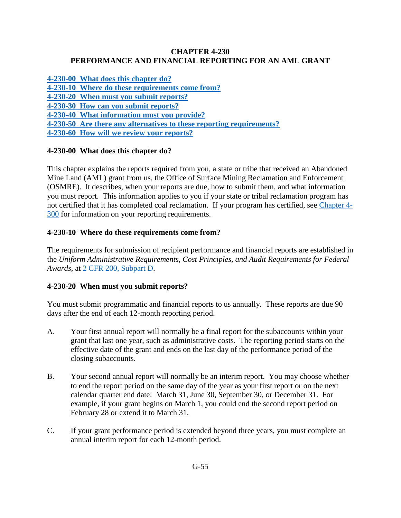#### **CHAPTER 4-230 PERFORMANCE AND FINANCIAL REPORTING FOR AN AML GRANT**

**[4-230-00 What does this chapter do?](#page-0-0) [4-230-10 Where do these requirements come from?](#page-0-1) [4-230-20 When must you submit reports?](#page-0-2)  [4-230-30 How can you submit reports?](#page-1-0)  [4-230-40 What information must you provide?](#page-1-1) [4-230-50 Are there any alternatives to these reporting requirements?](#page-2-0) [4-230-60 How will we review your reports?](#page-2-1)** 

## <span id="page-0-0"></span>**4-230-00 What does this chapter do?**

This chapter explains the reports required from you, a state or tribe that received an Abandoned Mine Land (AML) grant from us, the Office of Surface Mining Reclamation and Enforcement (OSMRE). It describes, when your reports are due, how to submit them, and what information you must report. This information applies to you if your state or tribal reclamation program has not certified that it has completed coal reclamation. If your program has certified, see [Chapter 4-](https://www.osmre.gov/lrg/fam/4-300.pdf) [300](https://www.osmre.gov/lrg/fam/4-300.pdf) for information on your reporting requirements.

#### <span id="page-0-1"></span>**4-230-10 Where do these requirements come from?**

The requirements for submission of recipient performance and financial reports are established in the *Uniform Administrative Requirements, Cost Principles, and Audit Requirements for Federal Awards*, at [2 CFR 200, Subpart D.](http://www.ecfr.gov/cgi-bin/text-idx?SID=5cdb64f9c9637b7beffcfd737cae593c&node=pt2.1.200&rgn=div5)

#### <span id="page-0-2"></span>**4-230-20 When must you submit reports?**

You must submit programmatic and financial reports to us annually. These reports are due 90 days after the end of each 12-month reporting period.

- A. Your first annual report will normally be a final report for the subaccounts within your grant that last one year, such as administrative costs. The reporting period starts on the effective date of the grant and ends on the last day of the performance period of the closing subaccounts.
- B. Your second annual report will normally be an interim report. You may choose whether to end the report period on the same day of the year as your first report or on the next calendar quarter end date: March 31, June 30, September 30, or December 31. For example, if your grant begins on March 1, you could end the second report period on February 28 or extend it to March 31.
- C. If your grant performance period is extended beyond three years, you must complete an annual interim report for each 12-month period.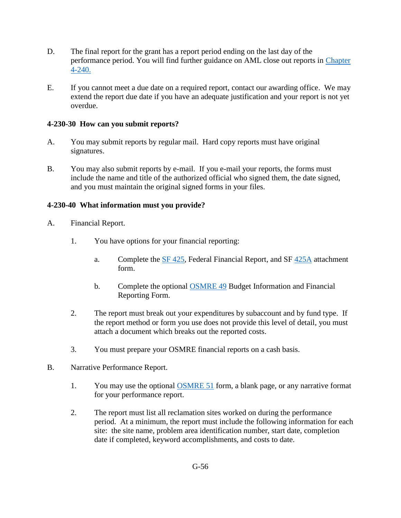- D. The final report for the grant has a report period ending on the last day of the performance period. You will find further guidance on AML close out reports in [Chapter](https://www.osmre.gov/lrg/fam/4-240.pdf)  [4-240.](https://www.osmre.gov/lrg/fam/4-240.pdf)
- E. If you cannot meet a due date on a required report, contact our awarding office. We may extend the report due date if you have an adequate justification and your report is not yet overdue.

## <span id="page-1-0"></span>**4-230-30 How can you submit reports?**

- A. You may submit reports by regular mail. Hard copy reports must have original signatures.
- B. You may also submit reports by e-mail. If you e-mail your reports, the forms must include the name and title of the authorized official who signed them, the date signed, and you must maintain the original signed forms in your files.

# <span id="page-1-1"></span>**4-230-40 What information must you provide?**

- A. Financial Report.
	- 1. You have options for your financial reporting:
		- a. Complete the [SF 425,](http://www.whitehouse.gov/sites/default/files/omb/grants/approved_forms/SF-425.pdf) Federal Financial Report, and SF [425A](http://www.whitehouse.gov/sites/default/files/omb/grants/approved_forms/sf-425a.pdf) attachment form.
		- b. Complete the optional [OSMRE 49](http://www.osmre.gov/resources/forms/OSM49.pdf) Budget Information and Financial Reporting Form.
	- 2. The report must break out your expenditures by subaccount and by fund type. If the report method or form you use does not provide this level of detail, you must attach a document which breaks out the reported costs.
	- 3. You must prepare your OSMRE financial reports on a cash basis.
- B. Narrative Performance Report.
	- 1. You may use the optional **OSMRE 51** form, a blank page, or any narrative format for your performance report.
	- 2. The report must list all reclamation sites worked on during the performance period. At a minimum, the report must include the following information for each site: the site name, problem area identification number, start date, completion date if completed, keyword accomplishments, and costs to date.